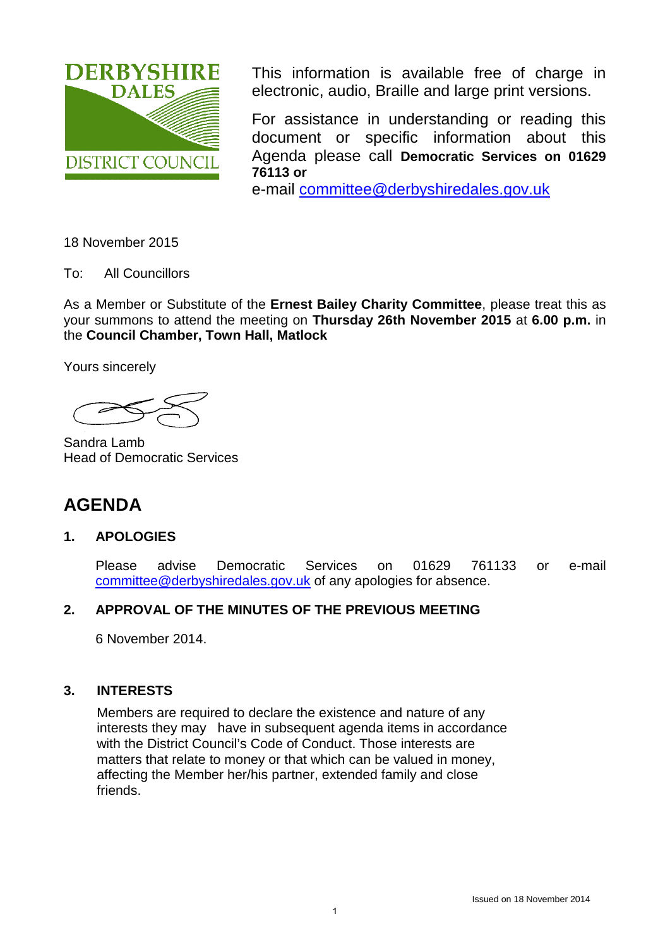

This information is available free of charge in electronic, audio, Braille and large print versions.

For assistance in understanding or reading this document or specific information about this Agenda please call **Democratic Services on 01629 76113 or**

e-mail [committee@derbyshiredales.gov.uk](mailto:committee@derbyshiredales.gov.uk)

18 November 2015

To: All Councillors

As a Member or Substitute of the **Ernest Bailey Charity Committee**, please treat this as your summons to attend the meeting on **Thursday 26th November 2015** at **6.00 p.m.** in the **Council Chamber, Town Hall, Matlock**

Yours sincerely

Sandra Lamb Head of Democratic Services

# **AGENDA**

## **1. APOLOGIES**

Please advise Democratic Services on 01629 761133 or e-mail [committee@derbyshiredales.gov.uk](mailto:committee@derbyshiredales.gov.uk) of any apologies for absence.

## **2. APPROVAL OF THE MINUTES OF THE PREVIOUS MEETING**

6 November 2014.

## **3. INTERESTS**

Members are required to declare the existence and nature of any interests they may have in subsequent agenda items in accordance with the District Council's Code of Conduct. Those interests are matters that relate to money or that which can be valued in money, affecting the Member her/his partner, extended family and close friends.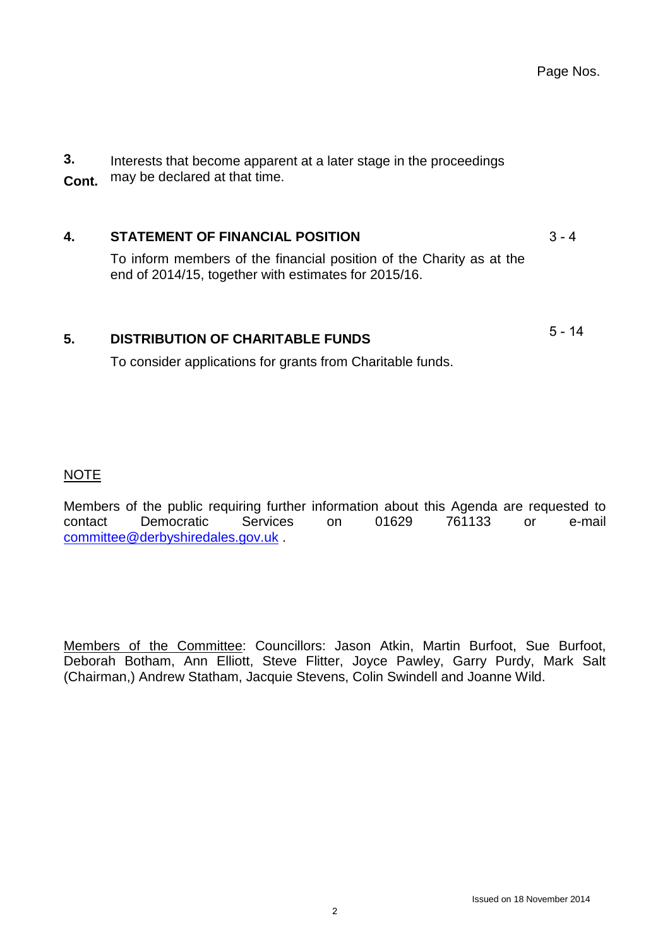**3. Cont.** Interests that become apparent at a later stage in the proceedings may be declared at that time.

## **4. [STATEMENT OF FINANCIAL POSITION](#page-2-0)**

To inform members of the financial position of the Charity as at the end of 2014/15, together with estimates for 2015/16.

## **5. [DISTRIBUTION OF CHARITABLE FUNDS](#page-4-0)**

To consider applications for grants from Charitable funds.

## NOTE

Members of the public requiring further information about this Agenda are requested to contact Democratic Services on 01629 761133 or e-mail [committee@derbyshiredales.gov.uk](mailto:committee@derbyshiredales.gov.uk) .

Members of the Committee: Councillors: Jason Atkin, Martin Burfoot, Sue Burfoot, Deborah Botham, Ann Elliott, Steve Flitter, Joyce Pawley, Garry Purdy, Mark Salt (Chairman,) Andrew Statham, Jacquie Stevens, Colin Swindell and Joanne Wild.

 $3 - 4$ 

5 - 14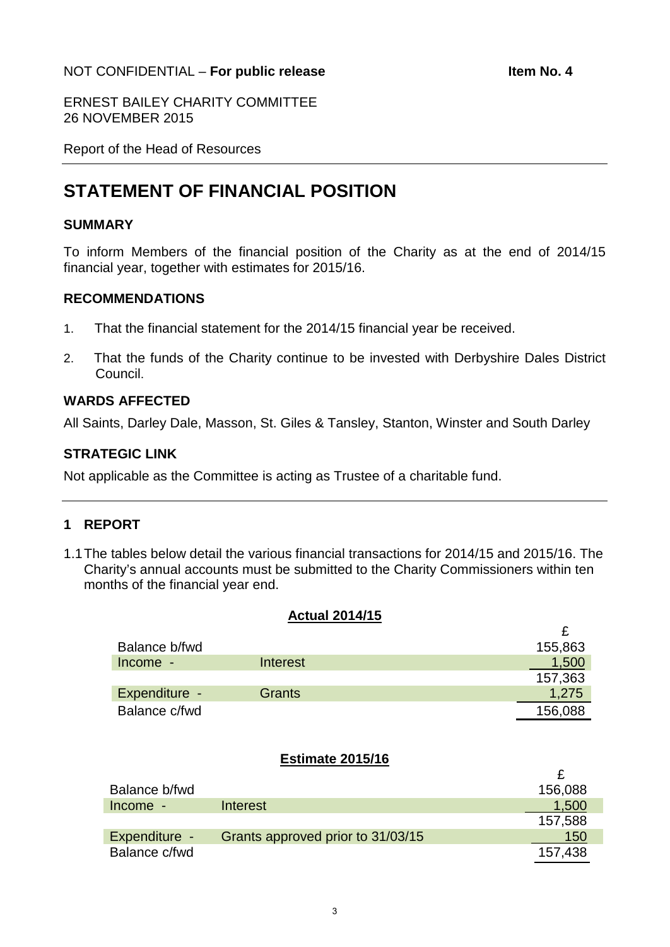### <span id="page-2-0"></span>NOT CONFIDENTIAL – **For public release Item No. 4**

£

ERNEST BAILEY CHARITY COMMITTEE 26 NOVEMBER 2015

Report of the Head of Resources

# **STATEMENT OF FINANCIAL POSITION**

#### **SUMMARY**

To inform Members of the financial position of the Charity as at the end of 2014/15 financial year, together with estimates for 2015/16.

#### **RECOMMENDATIONS**

- 1. That the financial statement for the 2014/15 financial year be received.
- 2. That the funds of the Charity continue to be invested with Derbyshire Dales District Council.

## **WARDS AFFECTED**

All Saints, Darley Dale, Masson, St. Giles & Tansley, Stanton, Winster and South Darley

#### **STRATEGIC LINK**

Not applicable as the Committee is acting as Trustee of a charitable fund.

#### **1 REPORT**

1.1The tables below detail the various financial transactions for 2014/15 and 2015/16. The Charity's annual accounts must be submitted to the Charity Commissioners within ten months of the financial year end.

#### **Actual 2014/15**

| Balance b/fwd |               | 155,863 |
|---------------|---------------|---------|
| Income -      | Interest      | 1.500   |
|               |               | 157,363 |
| Expenditure - | <b>Grants</b> | 1,275   |
| Balance c/fwd |               | 156,088 |

#### **Estimate 2015/16**

|                                   | 156,088 |
|-----------------------------------|---------|
| Interest                          | 1,500   |
|                                   | 157,588 |
| Grants approved prior to 31/03/15 | 150     |
|                                   | 157.438 |
|                                   |         |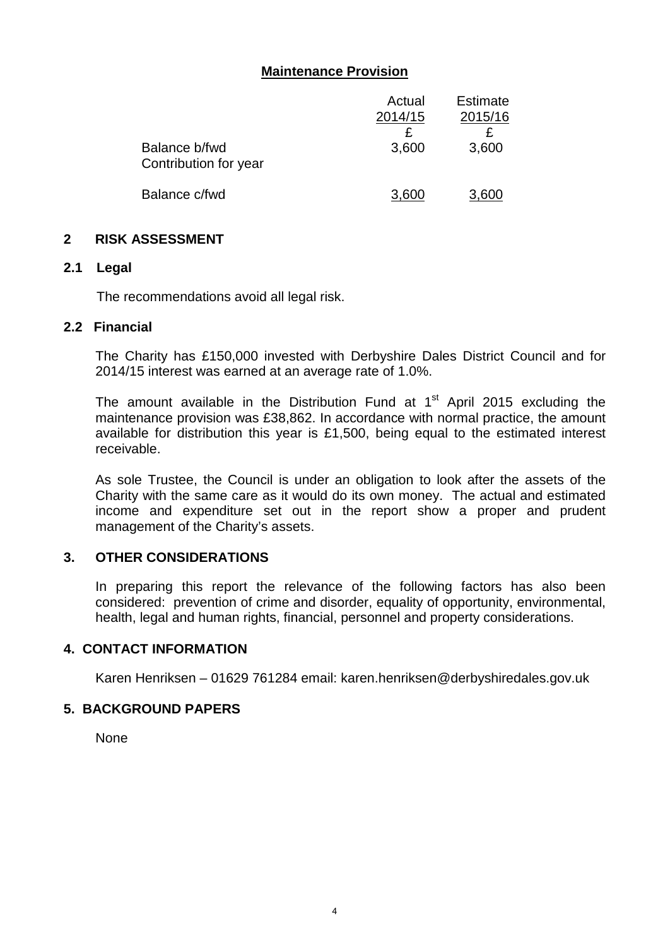## **Maintenance Provision**

|                                        | Actual  | <b>Estimate</b> |
|----------------------------------------|---------|-----------------|
|                                        | 2014/15 | 2015/16         |
|                                        |         |                 |
| Balance b/fwd<br>Contribution for year | 3,600   | 3,600           |
| Balance c/fwd                          | 3.600   | 3,600           |

#### **2 RISK ASSESSMENT**

#### **2.1 Legal**

The recommendations avoid all legal risk.

#### **2.2 Financial**

The Charity has £150,000 invested with Derbyshire Dales District Council and for 2014/15 interest was earned at an average rate of 1.0%.

The amount available in the Distribution Fund at  $1<sup>st</sup>$  April 2015 excluding the maintenance provision was £38,862. In accordance with normal practice, the amount available for distribution this year is £1,500, being equal to the estimated interest receivable.

As sole Trustee, the Council is under an obligation to look after the assets of the Charity with the same care as it would do its own money. The actual and estimated income and expenditure set out in the report show a proper and prudent management of the Charity's assets.

#### **3. OTHER CONSIDERATIONS**

In preparing this report the relevance of the following factors has also been considered: prevention of crime and disorder, equality of opportunity, environmental, health, legal and human rights, financial, personnel and property considerations.

#### **4. CONTACT INFORMATION**

Karen Henriksen – 01629 761284 email: karen.henriksen@derbyshiredales.gov.uk

#### **5. BACKGROUND PAPERS**

None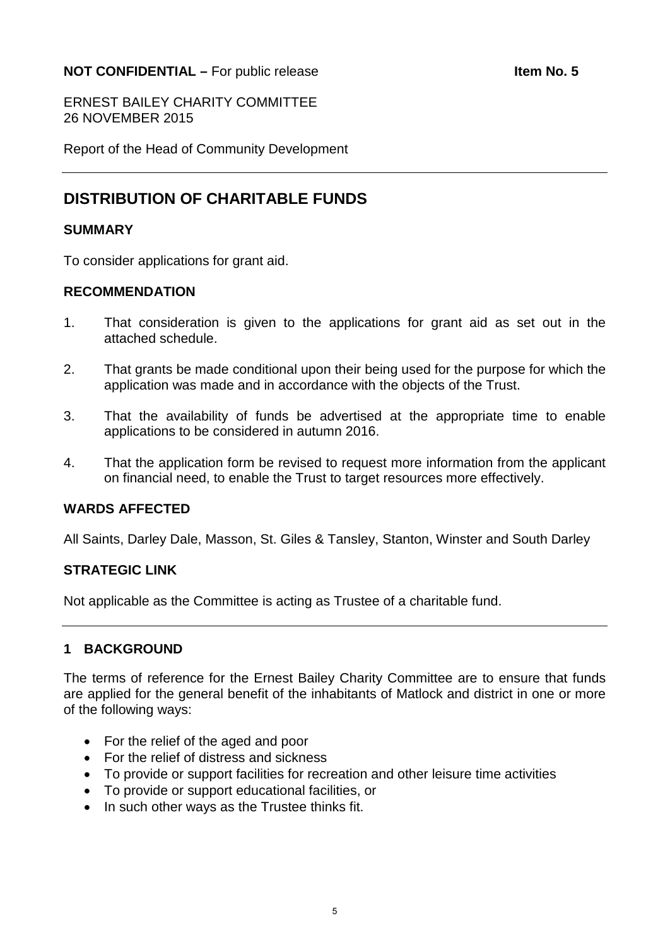### <span id="page-4-0"></span>**NOT CONFIDENTIAL –** For public release **Internal Section 1.5 Item No. 5**

ERNEST BAILEY CHARITY COMMITTEE 26 NOVEMBER 2015

Report of the Head of Community Development

# **DISTRIBUTION OF CHARITABLE FUNDS**

#### **SUMMARY**

To consider applications for grant aid.

#### **RECOMMENDATION**

- 1. That consideration is given to the applications for grant aid as set out in the attached schedule.
- 2. That grants be made conditional upon their being used for the purpose for which the application was made and in accordance with the objects of the Trust.
- 3. That the availability of funds be advertised at the appropriate time to enable applications to be considered in autumn 2016.
- 4. That the application form be revised to request more information from the applicant on financial need, to enable the Trust to target resources more effectively.

#### **WARDS AFFECTED**

All Saints, Darley Dale, Masson, St. Giles & Tansley, Stanton, Winster and South Darley

#### **STRATEGIC LINK**

Not applicable as the Committee is acting as Trustee of a charitable fund.

#### **1 BACKGROUND**

The terms of reference for the Ernest Bailey Charity Committee are to ensure that funds are applied for the general benefit of the inhabitants of Matlock and district in one or more of the following ways:

- For the relief of the aged and poor
- For the relief of distress and sickness
- To provide or support facilities for recreation and other leisure time activities
- To provide or support educational facilities, or
- In such other ways as the Trustee thinks fit.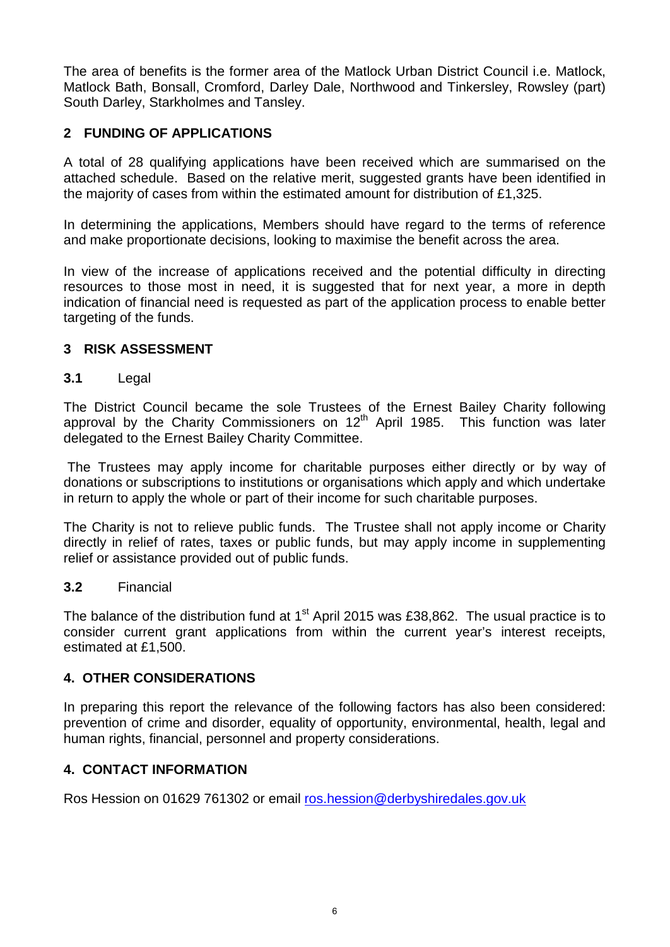The area of benefits is the former area of the Matlock Urban District Council i.e. Matlock, Matlock Bath, Bonsall, Cromford, Darley Dale, Northwood and Tinkersley, Rowsley (part) South Darley, Starkholmes and Tansley.

## **2 FUNDING OF APPLICATIONS**

A total of 28 qualifying applications have been received which are summarised on the attached schedule. Based on the relative merit, suggested grants have been identified in the majority of cases from within the estimated amount for distribution of £1,325.

In determining the applications, Members should have regard to the terms of reference and make proportionate decisions, looking to maximise the benefit across the area.

In view of the increase of applications received and the potential difficulty in directing resources to those most in need, it is suggested that for next year, a more in depth indication of financial need is requested as part of the application process to enable better targeting of the funds.

## **3 RISK ASSESSMENT**

#### **3.1** Legal

The District Council became the sole Trustees of the Ernest Bailey Charity following approval by the Charity Commissioners on  $12<sup>th</sup>$  April 1985. This function was later delegated to the Ernest Bailey Charity Committee.

The Trustees may apply income for charitable purposes either directly or by way of donations or subscriptions to institutions or organisations which apply and which undertake in return to apply the whole or part of their income for such charitable purposes.

The Charity is not to relieve public funds. The Trustee shall not apply income or Charity directly in relief of rates, taxes or public funds, but may apply income in supplementing relief or assistance provided out of public funds.

#### **3.2** Financial

The balance of the distribution fund at  $1<sup>st</sup>$  April 2015 was £38,862. The usual practice is to consider current grant applications from within the current year's interest receipts, estimated at £1,500.

#### **4. OTHER CONSIDERATIONS**

In preparing this report the relevance of the following factors has also been considered: prevention of crime and disorder, equality of opportunity, environmental, health, legal and human rights, financial, personnel and property considerations.

## **4. CONTACT INFORMATION**

Ros Hession on 01629 761302 or email [ros.hession@derbyshiredales.gov.uk](mailto:ros.hession@derbyshiredales.gov.uk)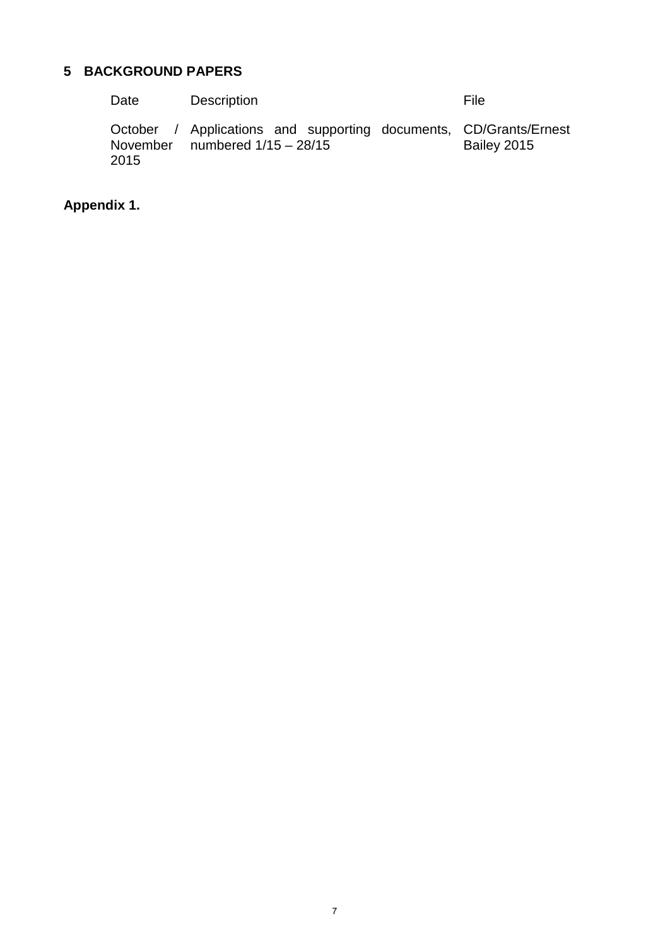# **5 BACKGROUND PAPERS**

| Date | <b>Description</b>                                                                                    | File        |
|------|-------------------------------------------------------------------------------------------------------|-------------|
| 2015 | October / Applications and supporting documents, CD/Grants/Ernest<br>November numbered $1/15 - 28/15$ | Bailey 2015 |

## **Appendix 1.**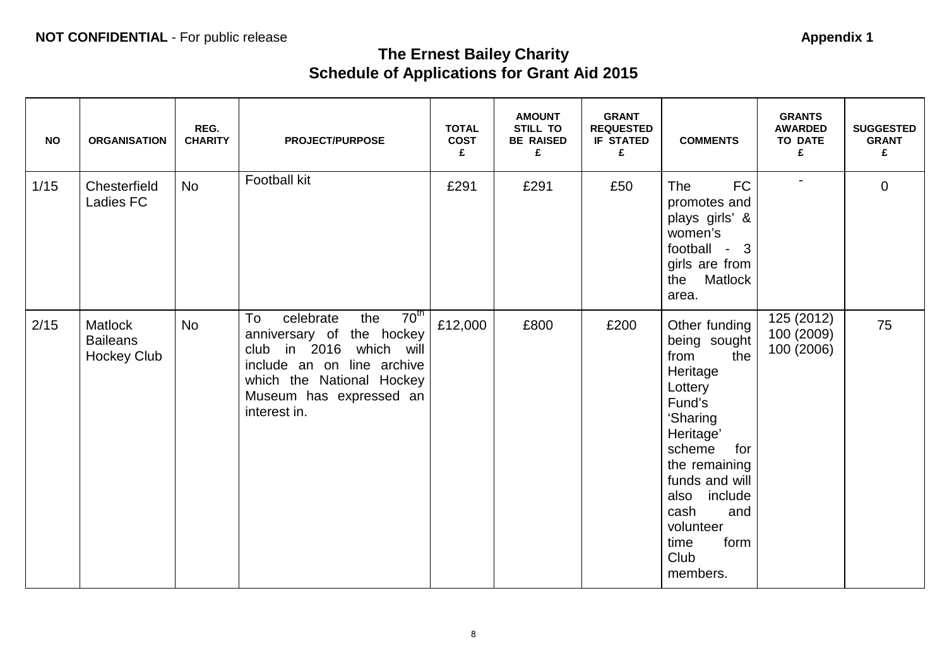# **The Ernest Bailey Charity Schedule of Applications for Grant Aid 2015**

| <b>NO</b> | <b>ORGANISATION</b>                                     | REG.<br><b>CHARITY</b> | <b>PROJECT/PURPOSE</b>                                                                                                                                                                                   | <b>TOTAL</b><br><b>COST</b><br>£ | <b>AMOUNT</b><br><b>STILL TO</b><br><b>BE RAISED</b><br>£ | <b>GRANT</b><br><b>REQUESTED</b><br><b>IF STATED</b><br>£ | <b>COMMENTS</b>                                                                                                                                                                                                                            | <b>GRANTS</b><br><b>AWARDED</b><br><b>TO DATE</b><br>£ | <b>SUGGESTED</b><br><b>GRANT</b><br>£ |
|-----------|---------------------------------------------------------|------------------------|----------------------------------------------------------------------------------------------------------------------------------------------------------------------------------------------------------|----------------------------------|-----------------------------------------------------------|-----------------------------------------------------------|--------------------------------------------------------------------------------------------------------------------------------------------------------------------------------------------------------------------------------------------|--------------------------------------------------------|---------------------------------------|
| 1/15      | Chesterfield<br>Ladies FC                               | <b>No</b>              | Football kit                                                                                                                                                                                             | £291                             | £291                                                      | £50                                                       | <b>FC</b><br><b>The</b><br>promotes and<br>plays girls' &<br>women's<br>football - 3<br>girls are from<br>the Matlock<br>area.                                                                                                             | $\overline{\phantom{a}}$                               | $\overline{0}$                        |
| 2/15      | <b>Matlock</b><br><b>Baileans</b><br><b>Hockey Club</b> | <b>No</b>              | 70 <sup>th</sup><br>celebrate<br>the<br>To<br>anniversary of the hockey<br>club in 2016 which will<br>include an on line archive<br>which the National Hockey<br>Museum has expressed an<br>interest in. | £12,000                          | £800                                                      | £200                                                      | Other funding<br>being sought<br>from<br>the<br>Heritage<br>Lottery<br>Fund's<br>'Sharing<br>Heritage'<br>scheme<br>for<br>the remaining<br>funds and will<br>also include<br>cash<br>and<br>volunteer<br>form<br>time<br>Club<br>members. | 125 (2012)<br>100 (2009)<br>100 (2006)                 | 75                                    |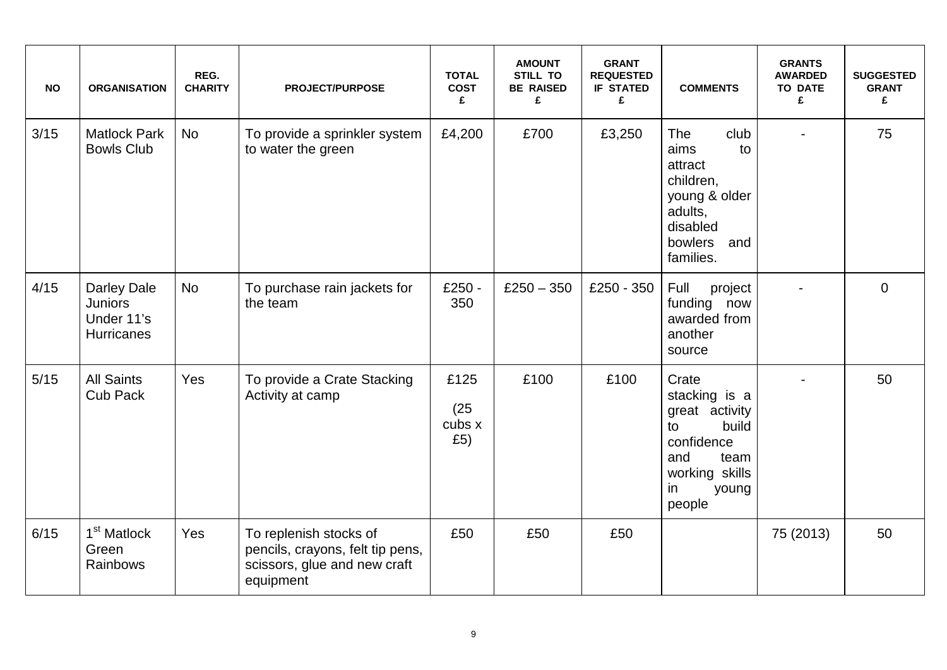| <b>NO</b> | <b>ORGANISATION</b>                                                     | REG.<br><b>CHARITY</b> | <b>PROJECT/PURPOSE</b>                                                                                  | <b>TOTAL</b><br><b>COST</b><br>£ | <b>AMOUNT</b><br><b>STILL TO</b><br><b>BE RAISED</b><br>£ | <b>GRANT</b><br><b>REQUESTED</b><br><b>IF STATED</b><br>£ | <b>COMMENTS</b>                                                                                                                 | <b>GRANTS</b><br><b>AWARDED</b><br><b>TO DATE</b><br>£ | <b>SUGGESTED</b><br><b>GRANT</b><br>£ |
|-----------|-------------------------------------------------------------------------|------------------------|---------------------------------------------------------------------------------------------------------|----------------------------------|-----------------------------------------------------------|-----------------------------------------------------------|---------------------------------------------------------------------------------------------------------------------------------|--------------------------------------------------------|---------------------------------------|
| 3/15      | <b>Matlock Park</b><br><b>Bowls Club</b>                                | <b>No</b>              | To provide a sprinkler system<br>to water the green                                                     | £4,200                           | £700                                                      | £3,250                                                    | <b>The</b><br>club<br>aims<br>to<br>attract<br>children,<br>young & older<br>adults,<br>disabled<br>bowlers and<br>families.    |                                                        | 75                                    |
| 4/15      | <b>Darley Dale</b><br><b>Juniors</b><br>Under 11's<br><b>Hurricanes</b> | <b>No</b>              | To purchase rain jackets for<br>the team                                                                | £250 -<br>350                    | $£250 - 350$                                              | £250 - 350                                                | Full<br>project<br>funding now<br>awarded from<br>another<br>source                                                             |                                                        | $\overline{0}$                        |
| $5/15$    | <b>All Saints</b><br><b>Cub Pack</b>                                    | Yes                    | To provide a Crate Stacking<br>Activity at camp                                                         | £125<br>(25)<br>cubs x<br>£5)    | £100                                                      | £100                                                      | Crate<br>stacking is a<br>great activity<br>build<br>to<br>confidence<br>and<br>team<br>working skills<br>in<br>young<br>people |                                                        | 50                                    |
| 6/15      | 1 <sup>st</sup> Matlock<br>Green<br>Rainbows                            | Yes                    | To replenish stocks of<br>pencils, crayons, felt tip pens,<br>scissors, glue and new craft<br>equipment | £50                              | £50                                                       | £50                                                       |                                                                                                                                 | 75 (2013)                                              | 50                                    |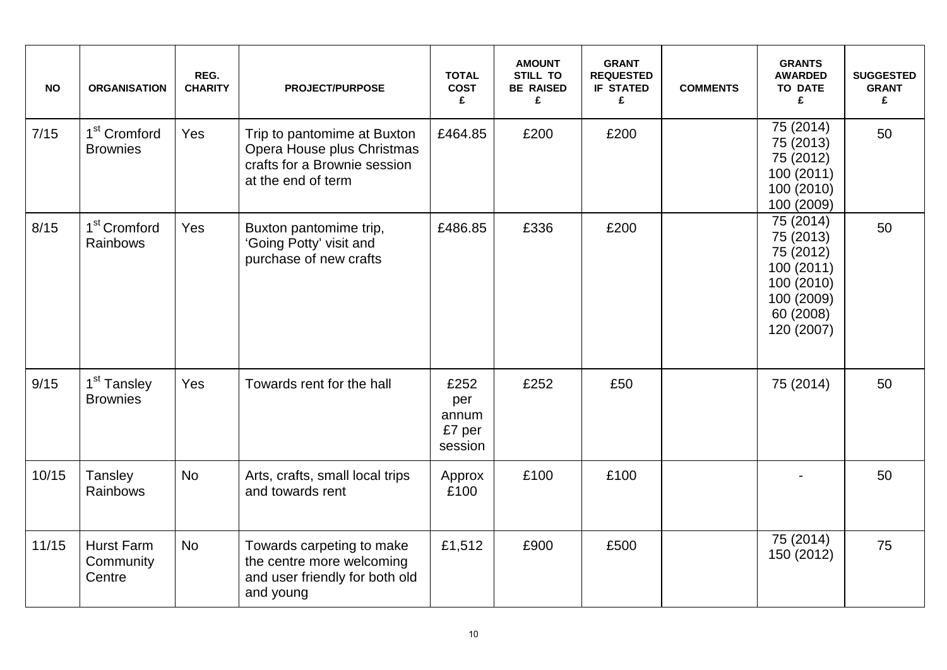| <b>NO</b> | <b>ORGANISATION</b>                         | REG.<br><b>CHARITY</b> | <b>PROJECT/PURPOSE</b>                                                                                          | <b>TOTAL</b><br><b>COST</b><br>£          | <b>AMOUNT</b><br><b>STILL TO</b><br><b>BE RAISED</b><br>£ | <b>GRANT</b><br><b>REQUESTED</b><br><b>IF STATED</b><br>£ | <b>COMMENTS</b> | <b>GRANTS</b><br><b>AWARDED</b><br><b>TO DATE</b><br>£                                                   | <b>SUGGESTED</b><br><b>GRANT</b><br>£ |
|-----------|---------------------------------------------|------------------------|-----------------------------------------------------------------------------------------------------------------|-------------------------------------------|-----------------------------------------------------------|-----------------------------------------------------------|-----------------|----------------------------------------------------------------------------------------------------------|---------------------------------------|
| 7/15      | 1 <sup>st</sup> Cromford<br><b>Brownies</b> | Yes                    | Trip to pantomime at Buxton<br>Opera House plus Christmas<br>crafts for a Brownie session<br>at the end of term | £464.85                                   | £200                                                      | £200                                                      |                 | 75 (2014)<br>75 (2013)<br>75 (2012)<br>100 (2011)<br>100 (2010)<br>100 (2009)                            | 50                                    |
| 8/15      | 1 <sup>st</sup> Cromford<br>Rainbows        | Yes                    | Buxton pantomime trip,<br>'Going Potty' visit and<br>purchase of new crafts                                     | £486.85                                   | £336                                                      | £200                                                      |                 | 75 (2014)<br>75 (2013)<br>75 (2012)<br>100 (2011)<br>100 (2010)<br>100 (2009)<br>60 (2008)<br>120 (2007) | 50                                    |
| 9/15      | 1 <sup>st</sup> Tansley<br><b>Brownies</b>  | Yes                    | Towards rent for the hall                                                                                       | £252<br>per<br>annum<br>£7 per<br>session | £252                                                      | £50                                                       |                 | 75 (2014)                                                                                                | 50                                    |
| 10/15     | Tansley<br>Rainbows                         | <b>No</b>              | Arts, crafts, small local trips<br>and towards rent                                                             | Approx<br>£100                            | £100                                                      | £100                                                      |                 |                                                                                                          | 50                                    |
| 11/15     | <b>Hurst Farm</b><br>Community<br>Centre    | <b>No</b>              | Towards carpeting to make<br>the centre more welcoming<br>and user friendly for both old<br>and young           | £1,512                                    | £900                                                      | £500                                                      |                 | 75 (2014)<br>150 (2012)                                                                                  | 75                                    |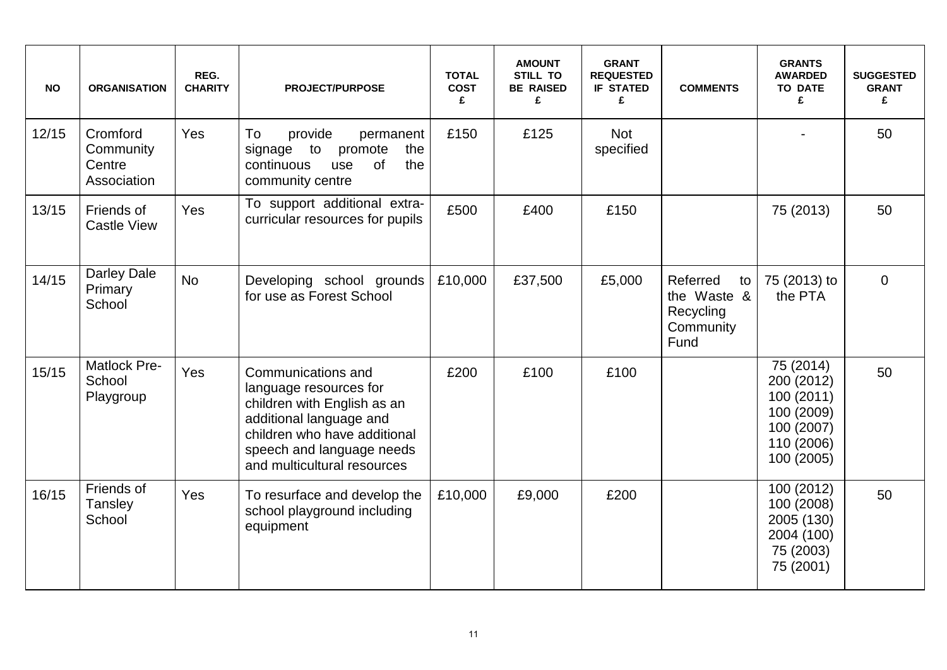| <b>NO</b> | <b>ORGANISATION</b>                            | REG.<br><b>CHARITY</b> | <b>PROJECT/PURPOSE</b>                                                                                                                                                                             | <b>TOTAL</b><br><b>COST</b><br>£ | <b>AMOUNT</b><br><b>STILL TO</b><br><b>BE RAISED</b><br>£ | <b>GRANT</b><br><b>REQUESTED</b><br><b>IF STATED</b><br>£ | <b>COMMENTS</b>                                                 | <b>GRANTS</b><br><b>AWARDED</b><br><b>TO DATE</b><br>£                                        | <b>SUGGESTED</b><br><b>GRANT</b><br>£ |
|-----------|------------------------------------------------|------------------------|----------------------------------------------------------------------------------------------------------------------------------------------------------------------------------------------------|----------------------------------|-----------------------------------------------------------|-----------------------------------------------------------|-----------------------------------------------------------------|-----------------------------------------------------------------------------------------------|---------------------------------------|
| 12/15     | Cromford<br>Community<br>Centre<br>Association | Yes                    | To<br>provide<br>permanent<br>signage<br>to<br>promote<br>the<br>of<br>continuous<br>the<br>use<br>community centre                                                                                | £150                             | £125                                                      | <b>Not</b><br>specified                                   |                                                                 |                                                                                               | 50                                    |
| 13/15     | Friends of<br><b>Castle View</b>               | Yes                    | To support additional extra-<br>curricular resources for pupils                                                                                                                                    | £500                             | £400                                                      | £150                                                      |                                                                 | 75 (2013)                                                                                     | 50                                    |
| 14/15     | <b>Darley Dale</b><br>Primary<br>School        | <b>No</b>              | Developing school grounds<br>for use as Forest School                                                                                                                                              | £10,000                          | £37,500                                                   | £5,000                                                    | Referred<br>to<br>the Waste &<br>Recycling<br>Community<br>Fund | 75 (2013) to<br>the PTA                                                                       | $\overline{0}$                        |
| 15/15     | Matlock Pre-<br>School<br>Playgroup            | Yes                    | Communications and<br>language resources for<br>children with English as an<br>additional language and<br>children who have additional<br>speech and language needs<br>and multicultural resources | £200                             | £100                                                      | £100                                                      |                                                                 | 75 (2014)<br>200 (2012)<br>100 (2011)<br>100 (2009)<br>100 (2007)<br>110 (2006)<br>100 (2005) | 50                                    |
| 16/15     | Friends of<br>Tansley<br>School                | Yes                    | To resurface and develop the<br>school playground including<br>equipment                                                                                                                           | £10,000                          | £9,000                                                    | £200                                                      |                                                                 | 100 (2012)<br>100 (2008)<br>2005 (130)<br>2004 (100)<br>75 (2003)<br>75 (2001)                | 50                                    |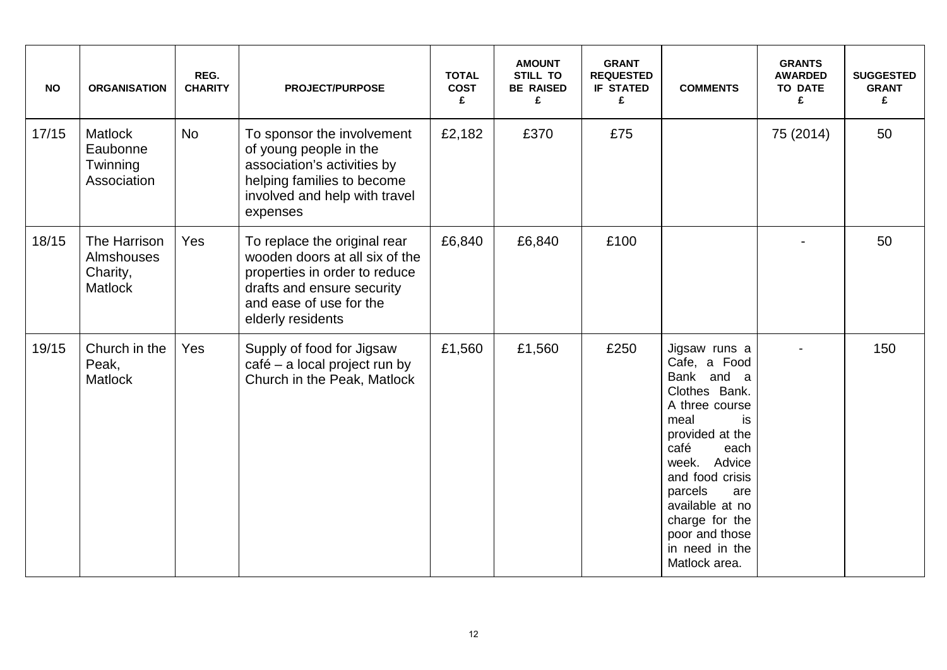| <b>NO</b> | <b>ORGANISATION</b>                                      | REG.<br><b>CHARITY</b> | <b>PROJECT/PURPOSE</b>                                                                                                                                                        | <b>TOTAL</b><br><b>COST</b><br>£ | <b>AMOUNT</b><br><b>STILL TO</b><br><b>BE RAISED</b><br>£ | <b>GRANT</b><br><b>REQUESTED</b><br><b>IF STATED</b><br>£ | <b>COMMENTS</b>                                                                                                                                                                                                                                                                | <b>GRANTS</b><br><b>AWARDED</b><br><b>TO DATE</b><br>£ | <b>SUGGESTED</b><br><b>GRANT</b><br>£ |
|-----------|----------------------------------------------------------|------------------------|-------------------------------------------------------------------------------------------------------------------------------------------------------------------------------|----------------------------------|-----------------------------------------------------------|-----------------------------------------------------------|--------------------------------------------------------------------------------------------------------------------------------------------------------------------------------------------------------------------------------------------------------------------------------|--------------------------------------------------------|---------------------------------------|
| 17/15     | <b>Matlock</b><br>Eaubonne<br>Twinning<br>Association    | <b>No</b>              | To sponsor the involvement<br>of young people in the<br>association's activities by<br>helping families to become<br>involved and help with travel<br>expenses                | £2,182                           | £370                                                      | £75                                                       |                                                                                                                                                                                                                                                                                | 75 (2014)                                              | 50                                    |
| 18/15     | The Harrison<br>Almshouses<br>Charity,<br><b>Matlock</b> | Yes                    | To replace the original rear<br>wooden doors at all six of the<br>properties in order to reduce<br>drafts and ensure security<br>and ease of use for the<br>elderly residents | £6,840                           | £6,840                                                    | £100                                                      |                                                                                                                                                                                                                                                                                |                                                        | 50                                    |
| 19/15     | Church in the<br>Peak,<br><b>Matlock</b>                 | Yes                    | Supply of food for Jigsaw<br>café - a local project run by<br>Church in the Peak, Matlock                                                                                     | £1,560                           | £1,560                                                    | £250                                                      | Jigsaw runs a<br>Cafe, a Food<br>Bank and a<br>Clothes Bank.<br>A three course<br>meal<br>is<br>provided at the<br>café<br>each<br>week. Advice<br>and food crisis<br>parcels<br>are<br>available at no<br>charge for the<br>poor and those<br>in need in the<br>Matlock area. |                                                        | 150                                   |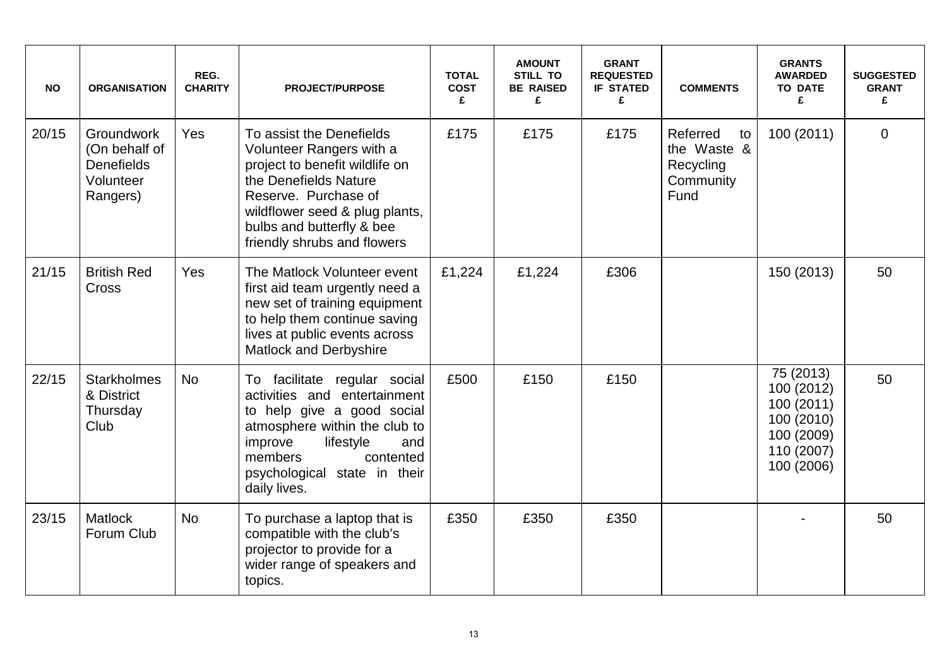| <b>NO</b> | <b>ORGANISATION</b>                                                       | REG.<br><b>CHARITY</b> | <b>PROJECT/PURPOSE</b>                                                                                                                                                                                                                | <b>TOTAL</b><br><b>COST</b><br>£ | <b>AMOUNT</b><br><b>STILL TO</b><br><b>BE RAISED</b><br>£ | <b>GRANT</b><br><b>REQUESTED</b><br><b>IF STATED</b><br>£ | <b>COMMENTS</b>                                                 | <b>GRANTS</b><br><b>AWARDED</b><br><b>TO DATE</b><br>£                                        | <b>SUGGESTED</b><br><b>GRANT</b><br>£ |
|-----------|---------------------------------------------------------------------------|------------------------|---------------------------------------------------------------------------------------------------------------------------------------------------------------------------------------------------------------------------------------|----------------------------------|-----------------------------------------------------------|-----------------------------------------------------------|-----------------------------------------------------------------|-----------------------------------------------------------------------------------------------|---------------------------------------|
| 20/15     | Groundwork<br>(On behalf of<br><b>Denefields</b><br>Volunteer<br>Rangers) | <b>Yes</b>             | To assist the Denefields<br>Volunteer Rangers with a<br>project to benefit wildlife on<br>the Denefields Nature<br>Reserve. Purchase of<br>wildflower seed & plug plants,<br>bulbs and butterfly & bee<br>friendly shrubs and flowers | £175                             | £175                                                      | £175                                                      | Referred<br>to<br>the Waste &<br>Recycling<br>Community<br>Fund | 100 (2011)                                                                                    | $\mathbf 0$                           |
| 21/15     | <b>British Red</b><br><b>Cross</b>                                        | Yes                    | The Matlock Volunteer event<br>first aid team urgently need a<br>new set of training equipment<br>to help them continue saving<br>lives at public events across<br><b>Matlock and Derbyshire</b>                                      | £1,224                           | £1,224                                                    | £306                                                      |                                                                 | 150 (2013)                                                                                    | 50                                    |
| 22/15     | <b>Starkholmes</b><br>& District<br>Thursday<br>Club                      | <b>No</b>              | To facilitate regular social<br>activities and entertainment<br>to help give a good social<br>atmosphere within the club to<br>improve<br>lifestyle<br>and<br>members<br>contented<br>psychological state in their<br>daily lives.    | £500                             | £150                                                      | £150                                                      |                                                                 | 75 (2013)<br>100 (2012)<br>100 (2011)<br>100 (2010)<br>100 (2009)<br>110 (2007)<br>100 (2006) | 50                                    |
| 23/15     | <b>Matlock</b><br>Forum Club                                              | <b>No</b>              | To purchase a laptop that is<br>compatible with the club's<br>projector to provide for a<br>wider range of speakers and<br>topics.                                                                                                    | £350                             | £350                                                      | £350                                                      |                                                                 |                                                                                               | 50                                    |